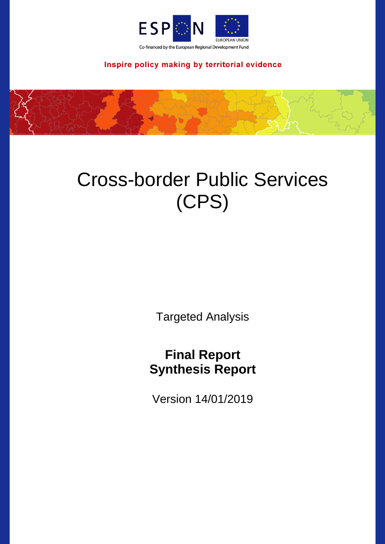

Inspire policy making by territorial evidence



# Cross-border Public Services (CPS)

Targeted Analysis

## **Final Report Synthesis Report**

Version 14/01/2019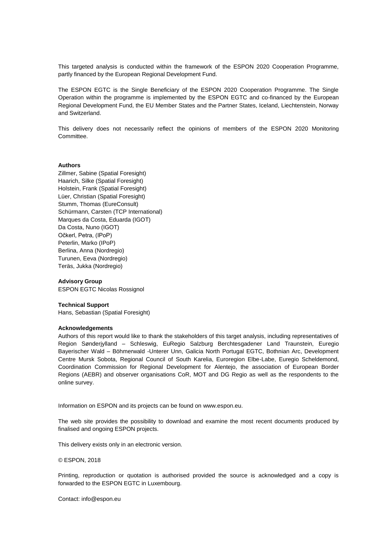This targeted analysis is conducted within the framework of the ESPON 2020 Cooperation Programme, partly financed by the European Regional Development Fund.

The ESPON EGTC is the Single Beneficiary of the ESPON 2020 Cooperation Programme. The Single Operation within the programme is implemented by the ESPON EGTC and co-financed by the European Regional Development Fund, the EU Member States and the Partner States, Iceland, Liechtenstein, Norway and Switzerland.

This delivery does not necessarily reflect the opinions of members of the ESPON 2020 Monitoring Committee.

#### **Authors**

Zillmer, Sabine (Spatial Foresight) Haarich, Silke (Spatial Foresight) Holstein, Frank (Spatial Foresight) Lüer, Christian (Spatial Foresight) Stumm, Thomas (EureConsult) Schürmann, Carsten (TCP International) Marques da Costa, Eduarda (IGOT) Da Costa, Nuno (IGOT) Očkerl, Petra, (IPoP) Peterlin, Marko (IPoP) Berlina, Anna (Nordregio) Turunen, Eeva (Nordregio) Teräs, Jukka (Nordregio)

#### **Advisory Group**

ESPON EGTC Nicolas Rossignol

#### **Technical Support**

Hans, Sebastian (Spatial Foresight)

#### **Acknowledgements**

Authors of this report would like to thank the stakeholders of this target analysis, including representatives of Region Sønderjylland – Schleswig, EuRegio Salzburg Berchtesgadener Land Traunstein, Euregio Bayerischer Wald – Böhmerwald -Unterer Unn, Galicia North Portugal EGTC, Bothnian Arc, Development Centre Mursk Sobota, Regional Council of South Karelia, Euroregion Elbe-Labe, Euregio Scheldemond, Coordination Commission for Regional Development for Alentejo, the association of European Border Regions (AEBR) and observer organisations CoR, MOT and DG Regio as well as the respondents to the online survey.

Information on ESPON and its projects can be found on [www.espon.eu.](https://www.espon.eu/)

The web site provides the possibility to download and examine the most recent documents produced by finalised and ongoing ESPON projects.

This delivery exists only in an electronic version.

#### © ESPON, 2018

Printing, reproduction or quotation is authorised provided the source is acknowledged and a copy is forwarded to the ESPON EGTC in Luxembourg.

Contact: [info@espon.eu](mailto:info@espon.eu)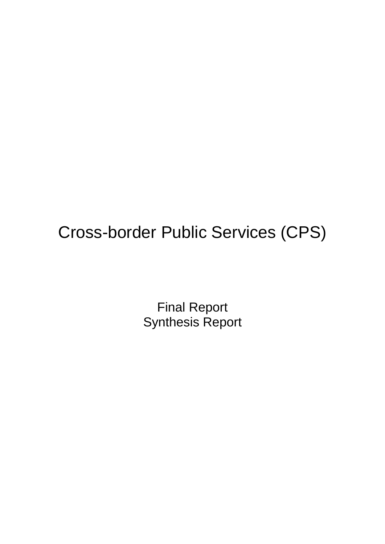## Cross-border Public Services (CPS)

Final Report Synthesis Report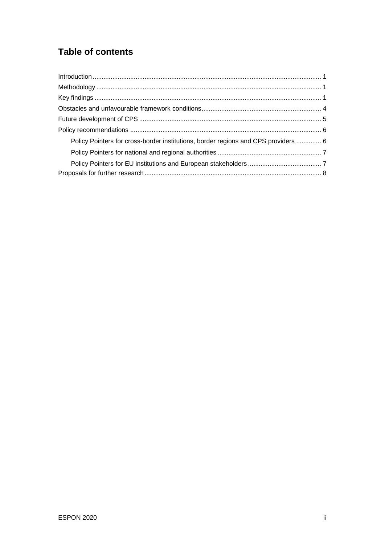## **Table of contents**

| Policy Pointers for cross-border institutions, border regions and CPS providers  6 |  |
|------------------------------------------------------------------------------------|--|
|                                                                                    |  |
|                                                                                    |  |
|                                                                                    |  |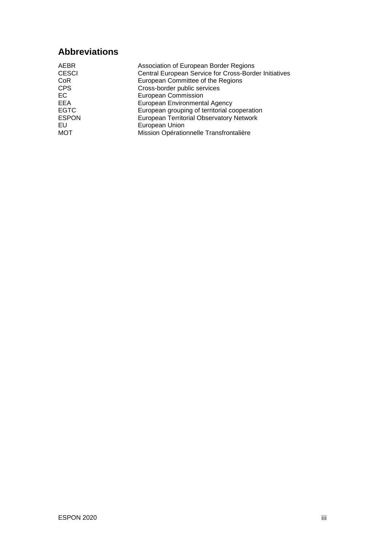## **Abbreviations**

| <b>AEBR</b>  | Association of European Border Regions                |
|--------------|-------------------------------------------------------|
| <b>CESCI</b> | Central European Service for Cross-Border Initiatives |
| CoR          | European Committee of the Regions                     |
| <b>CPS</b>   | Cross-border public services                          |
| EC           | <b>European Commission</b>                            |
| EEA          | European Environmental Agency                         |
| <b>EGTC</b>  | European grouping of territorial cooperation          |
| <b>ESPON</b> | <b>European Territorial Observatory Network</b>       |
| EU           | European Union                                        |
| <b>MOT</b>   | Mission Opérationnelle Transfrontalière               |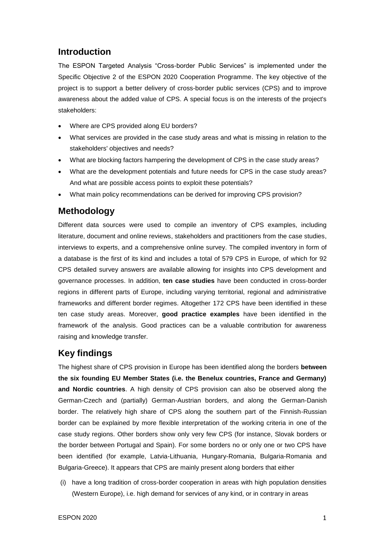### <span id="page-5-0"></span>**Introduction**

The ESPON Targeted Analysis "Cross-border Public Services" is implemented under the Specific Objective 2 of the ESPON 2020 Cooperation Programme. The key objective of the project is to support a better delivery of cross-border public services (CPS) and to improve awareness about the added value of CPS. A special focus is on the interests of the project's stakeholders:

- Where are CPS provided along EU borders?
- What services are provided in the case study areas and what is missing in relation to the stakeholders' objectives and needs?
- What are blocking factors hampering the development of CPS in the case study areas?
- What are the development potentials and future needs for CPS in the case study areas? And what are possible access points to exploit these potentials?
- What main policy recommendations can be derived for improving CPS provision?

## <span id="page-5-1"></span>**Methodology**

Different data sources were used to compile an inventory of CPS examples, including literature, document and online reviews, stakeholders and practitioners from the case studies, interviews to experts, and a comprehensive online survey. The compiled inventory in form of a database is the first of its kind and includes a total of 579 CPS in Europe, of which for 92 CPS detailed survey answers are available allowing for insights into CPS development and governance processes. In addition, **ten case studies** have been conducted in cross-border regions in different parts of Europe, including varying territorial, regional and administrative frameworks and different border regimes. Altogether 172 CPS have been identified in these ten case study areas. Moreover, **good practice examples** have been identified in the framework of the analysis. Good practices can be a valuable contribution for awareness raising and knowledge transfer.

## <span id="page-5-2"></span>**Key findings**

The highest share of CPS provision in Europe has been identified along the borders **between the six founding EU Member States (i.e. the Benelux countries, France and Germany) and Nordic countries**. A high density of CPS provision can also be observed along the German-Czech and (partially) German-Austrian borders, and along the German-Danish border. The relatively high share of CPS along the southern part of the Finnish-Russian border can be explained by more flexible interpretation of the working criteria in one of the case study regions. Other borders show only very few CPS (for instance, Slovak borders or the border between Portugal and Spain). For some borders no or only one or two CPS have been identified (for example, Latvia-Lithuania, Hungary-Romania, Bulgaria-Romania and Bulgaria-Greece). It appears that CPS are mainly present along borders that either

(i) have a long tradition of cross-border cooperation in areas with high population densities (Western Europe), i.e. high demand for services of any kind, or in contrary in areas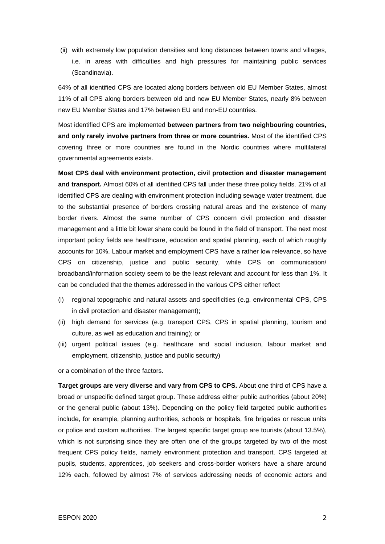(ii) with extremely low population densities and long distances between towns and villages, i.e. in areas with difficulties and high pressures for maintaining public services (Scandinavia).

64% of all identified CPS are located along borders between old EU Member States, almost 11% of all CPS along borders between old and new EU Member States, nearly 8% between new EU Member States and 17% between EU and non-EU countries.

Most identified CPS are implemented **between partners from two neighbouring countries, and only rarely involve partners from three or more countries.** Most of the identified CPS covering three or more countries are found in the Nordic countries where multilateral governmental agreements exists.

**Most CPS deal with environment protection, civil protection and disaster management and transport.** Almost 60% of all identified CPS fall under these three policy fields. 21% of all identified CPS are dealing with environment protection including sewage water treatment, due to the substantial presence of borders crossing natural areas and the existence of many border rivers. Almost the same number of CPS concern civil protection and disaster management and a little bit lower share could be found in the field of transport. The next most important policy fields are healthcare, education and spatial planning, each of which roughly accounts for 10%. Labour market and employment CPS have a rather low relevance, so have CPS on citizenship, justice and public security, while CPS on communication/ broadband/information society seem to be the least relevant and account for less than 1%. It can be concluded that the themes addressed in the various CPS either reflect

- (i) regional topographic and natural assets and specificities (e.g. environmental CPS, CPS in civil protection and disaster management);
- (ii) high demand for services (e.g. transport CPS, CPS in spatial planning, tourism and culture, as well as education and training); or
- (iii) urgent political issues (e.g. healthcare and social inclusion, labour market and employment, citizenship, justice and public security)

or a combination of the three factors.

**Target groups are very diverse and vary from CPS to CPS.** About one third of CPS have a broad or unspecific defined target group. These address either public authorities (about 20%) or the general public (about 13%). Depending on the policy field targeted public authorities include, for example, planning authorities, schools or hospitals, fire brigades or rescue units or police and custom authorities. The largest specific target group are tourists (about 13.5%), which is not surprising since they are often one of the groups targeted by two of the most frequent CPS policy fields, namely environment protection and transport. CPS targeted at pupils, students, apprentices, job seekers and cross-border workers have a share around 12% each, followed by almost 7% of services addressing needs of economic actors and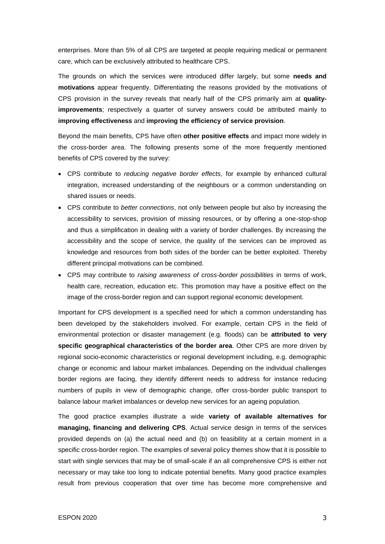enterprises. More than 5% of all CPS are targeted at people requiring medical or permanent care, which can be exclusively attributed to healthcare CPS.

The grounds on which the services were introduced differ largely, but some **needs and motivations** appear frequently. Differentiating the reasons provided by the motivations of CPS provision in the survey reveals that nearly half of the CPS primarily aim at **qualityimprovements**; respectively a quarter of survey answers could be attributed mainly to **improving effectiveness** and **improving the efficiency of service provision**.

Beyond the main benefits, CPS have often **other positive effects** and impact more widely in the cross-border area. The following presents some of the more frequently mentioned benefits of CPS covered by the survey:

- CPS contribute to *reducing negative border effects*, for example by enhanced cultural integration, increased understanding of the neighbours or a common understanding on shared issues or needs.
- CPS contribute to *better connections*, not only between people but also by increasing the accessibility to services, provision of missing resources, or by offering a one-stop-shop and thus a simplification in dealing with a variety of border challenges. By increasing the accessibility and the scope of service, the quality of the services can be improved as knowledge and resources from both sides of the border can be better exploited. Thereby different principal motivations can be combined.
- CPS may contribute to *raising awareness of cross-border possibilities* in terms of work, health care, recreation, education etc. This promotion may have a positive effect on the image of the cross-border region and can support regional economic development.

Important for CPS development is a specified need for which a common understanding has been developed by the stakeholders involved. For example, certain CPS in the field of environmental protection or disaster management (e.g. floods) can be **attributed to very specific geographical characteristics of the border area**. Other CPS are more driven by regional socio-economic characteristics or regional development including, e.g. demographic change or economic and labour market imbalances. Depending on the individual challenges border regions are facing, they identify different needs to address for instance reducing numbers of pupils in view of demographic change, offer cross-border public transport to balance labour market imbalances or develop new services for an ageing population.

The good practice examples illustrate a wide **variety of available alternatives for managing, financing and delivering CPS**. Actual service design in terms of the services provided depends on (a) the actual need and (b) on feasibility at a certain moment in a specific cross-border region. The examples of several policy themes show that it is possible to start with single services that may be of small-scale if an all comprehensive CPS is either not necessary or may take too long to indicate potential benefits. Many good practice examples result from previous cooperation that over time has become more comprehensive and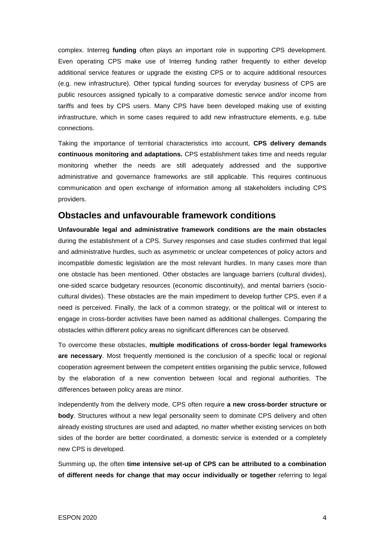complex. Interreg **funding** often plays an important role in supporting CPS development. Even operating CPS make use of Interreg funding rather frequently to either develop additional service features or upgrade the existing CPS or to acquire additional resources (e.g. new infrastructure). Other typical funding sources for everyday business of CPS are public resources assigned typically to a comparative domestic service and/or income from tariffs and fees by CPS users. Many CPS have been developed making use of existing infrastructure, which in some cases required to add new infrastructure elements, e.g. tube connections.

Taking the importance of territorial characteristics into account, **CPS delivery demands continuous monitoring and adaptations.** CPS establishment takes time and needs regular monitoring whether the needs are still adequately addressed and the supportive administrative and governance frameworks are still applicable. This requires continuous communication and open exchange of information among all stakeholders including CPS providers.

#### <span id="page-8-0"></span>**Obstacles and unfavourable framework conditions**

**Unfavourable legal and administrative framework conditions are the main obstacles** during the establishment of a CPS. Survey responses and case studies confirmed that legal and administrative hurdles, such as asymmetric or unclear competences of policy actors and incompatible domestic legislation are the most relevant hurdles. In many cases more than one obstacle has been mentioned. Other obstacles are language barriers (cultural divides), one-sided scarce budgetary resources (economic discontinuity), and mental barriers (sociocultural divides). These obstacles are the main impediment to develop further CPS, even if a need is perceived. Finally, the lack of a common strategy, or the political will or interest to engage in cross-border activities have been named as additional challenges. Comparing the obstacles within different policy areas no significant differences can be observed.

To overcome these obstacles, **multiple modifications of cross-border legal frameworks are necessary**. Most frequently mentioned is the conclusion of a specific local or regional cooperation agreement between the competent entities organising the public service, followed by the elaboration of a new convention between local and regional authorities. The differences between policy areas are minor.

Independently from the delivery mode, CPS often require **a new cross-border structure or body**. Structures without a new legal personality seem to dominate CPS delivery and often already existing structures are used and adapted, no matter whether existing services on both sides of the border are better coordinated, a domestic service is extended or a completely new CPS is developed.

Summing up, the often **time intensive set-up of CPS can be attributed to a combination of different needs for change that may occur individually or together** referring to legal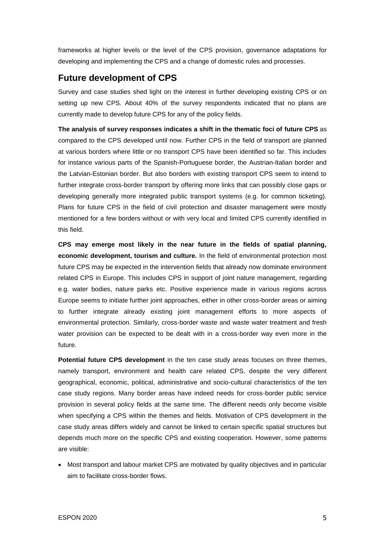frameworks at higher levels or the level of the CPS provision, governance adaptations for developing and implementing the CPS and a change of domestic rules and processes.

### <span id="page-9-0"></span>**Future development of CPS**

Survey and case studies shed light on the interest in further developing existing CPS or on setting up new CPS. About 40% of the survey respondents indicated that no plans are currently made to develop future CPS for any of the policy fields.

**The analysis of survey responses indicates a shift in the thematic foci of future CPS** as compared to the CPS developed until now. Further CPS in the field of transport are planned at various borders where little or no transport CPS have been identified so far. This includes for instance various parts of the Spanish-Portuguese border, the Austrian-Italian border and the Latvian-Estonian border. But also borders with existing transport CPS seem to intend to further integrate cross-border transport by offering more links that can possibly close gaps or developing generally more integrated public transport systems (e.g. for common ticketing). Plans for future CPS in the field of civil protection and disaster management were mostly mentioned for a few borders without or with very local and limited CPS currently identified in this field.

**CPS may emerge most likely in the near future in the fields of spatial planning, economic development, tourism and culture.** In the field of environmental protection most future CPS may be expected in the intervention fields that already now dominate environment related CPS in Europe. This includes CPS in support of joint nature management, regarding e.g. water bodies, nature parks etc. Positive experience made in various regions across Europe seems to initiate further joint approaches, either in other cross-border areas or aiming to further integrate already existing joint management efforts to more aspects of environmental protection. Similarly, cross-border waste and waste water treatment and fresh water provision can be expected to be dealt with in a cross-border way even more in the future.

**Potential future CPS development** in the ten case study areas focuses on three themes, namely transport, environment and health care related CPS, despite the very different geographical, economic, political, administrative and socio-cultural characteristics of the ten case study regions. Many border areas have indeed needs for cross-border public service provision in several policy fields at the same time. The different needs only become visible when specifying a CPS within the themes and fields. Motivation of CPS development in the case study areas differs widely and cannot be linked to certain specific spatial structures but depends much more on the specific CPS and existing cooperation. However, some patterns are visible:

• Most transport and labour market CPS are motivated by quality objectives and in particular aim to facilitate cross-border flows.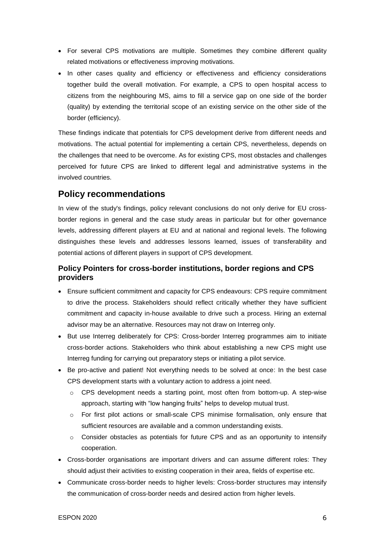- For several CPS motivations are multiple. Sometimes they combine different quality related motivations or effectiveness improving motivations.
- In other cases quality and efficiency or effectiveness and efficiency considerations together build the overall motivation. For example, a CPS to open hospital access to citizens from the neighbouring MS, aims to fill a service gap on one side of the border (quality) by extending the territorial scope of an existing service on the other side of the border (efficiency).

These findings indicate that potentials for CPS development derive from different needs and motivations. The actual potential for implementing a certain CPS, nevertheless, depends on the challenges that need to be overcome. As for existing CPS, most obstacles and challenges perceived for future CPS are linked to different legal and administrative systems in the involved countries.

#### <span id="page-10-0"></span>**Policy recommendations**

In view of the study's findings, policy relevant conclusions do not only derive for EU crossborder regions in general and the case study areas in particular but for other governance levels, addressing different players at EU and at national and regional levels. The following distinguishes these levels and addresses lessons learned, issues of transferability and potential actions of different players in support of CPS development.

#### <span id="page-10-1"></span>**Policy Pointers for cross-border institutions, border regions and CPS providers**

- Ensure sufficient commitment and capacity for CPS endeavours: CPS require commitment to drive the process. Stakeholders should reflect critically whether they have sufficient commitment and capacity in-house available to drive such a process. Hiring an external advisor may be an alternative. Resources may not draw on Interreg only.
- But use Interreg deliberately for CPS: Cross-border Interreg programmes aim to initiate cross-border actions. Stakeholders who think about establishing a new CPS might use Interreg funding for carrying out preparatory steps or initiating a pilot service.
- Be pro-active and patient! Not everything needs to be solved at once: In the best case CPS development starts with a voluntary action to address a joint need.
	- $\circ$  CPS development needs a starting point, most often from bottom-up. A step-wise approach, starting with "low hanging fruits" helps to develop mutual trust.
	- o For first pilot actions or small-scale CPS minimise formalisation, only ensure that sufficient resources are available and a common understanding exists.
	- $\circ$  Consider obstacles as potentials for future CPS and as an opportunity to intensify cooperation.
- Cross-border organisations are important drivers and can assume different roles: They should adjust their activities to existing cooperation in their area, fields of expertise etc.
- Communicate cross-border needs to higher levels: Cross-border structures may intensify the communication of cross-border needs and desired action from higher levels.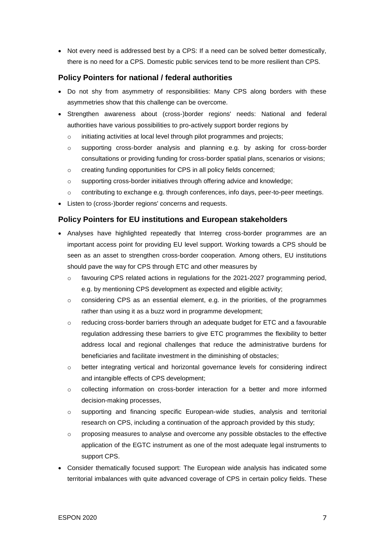• Not every need is addressed best by a CPS: If a need can be solved better domestically, there is no need for a CPS. Domestic public services tend to be more resilient than CPS.

#### <span id="page-11-0"></span>**Policy Pointers for national / federal authorities**

- Do not shy from asymmetry of responsibilities: Many CPS along borders with these asymmetries show that this challenge can be overcome.
- Strengthen awareness about (cross-)border regions' needs: National and federal authorities have various possibilities to pro-actively support border regions by
	- o initiating activities at local level through pilot programmes and projects;
	- o supporting cross-border analysis and planning e.g. by asking for cross-border consultations or providing funding for cross-border spatial plans, scenarios or visions;
	- o creating funding opportunities for CPS in all policy fields concerned;
	- $\circ$  supporting cross-border initiatives through offering advice and knowledge;
	- o contributing to exchange e.g. through conferences, info days, peer-to-peer meetings.
- Listen to (cross-)border regions' concerns and requests.

#### <span id="page-11-1"></span>**Policy Pointers for EU institutions and European stakeholders**

- Analyses have highlighted repeatedly that Interreg cross-border programmes are an important access point for providing EU level support. Working towards a CPS should be seen as an asset to strengthen cross-border cooperation. Among others, EU institutions should pave the way for CPS through ETC and other measures by
	- $\circ$  favouring CPS related actions in regulations for the 2021-2027 programming period, e.g. by mentioning CPS development as expected and eligible activity;
	- o considering CPS as an essential element, e.g. in the priorities, of the programmes rather than using it as a buzz word in programme development;
	- $\circ$  reducing cross-border barriers through an adequate budget for ETC and a favourable regulation addressing these barriers to give ETC programmes the flexibility to better address local and regional challenges that reduce the administrative burdens for beneficiaries and facilitate investment in the diminishing of obstacles;
	- o better integrating vertical and horizontal governance levels for considering indirect and intangible effects of CPS development;
	- $\circ$  collecting information on cross-border interaction for a better and more informed decision-making processes,
	- o supporting and financing specific European-wide studies, analysis and territorial research on CPS, including a continuation of the approach provided by this study;
	- o proposing measures to analyse and overcome any possible obstacles to the effective application of the EGTC instrument as one of the most adequate legal instruments to support CPS.
- Consider thematically focused support: The European wide analysis has indicated some territorial imbalances with quite advanced coverage of CPS in certain policy fields. These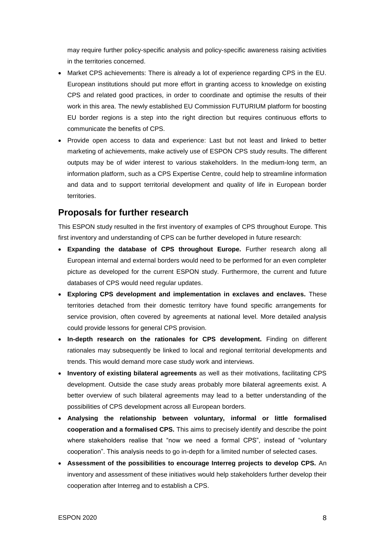may require further policy-specific analysis and policy-specific awareness raising activities in the territories concerned.

- Market CPS achievements: There is already a lot of experience regarding CPS in the EU. European institutions should put more effort in granting access to knowledge on existing CPS and related good practices, in order to coordinate and optimise the results of their work in this area. The newly established EU Commission FUTURIUM platform for boosting EU border regions is a step into the right direction but requires continuous efforts to communicate the benefits of CPS.
- Provide open access to data and experience: Last but not least and linked to better marketing of achievements, make actively use of ESPON CPS study results. The different outputs may be of wider interest to various stakeholders. In the medium-long term, an information platform, such as a CPS Expertise Centre, could help to streamline information and data and to support territorial development and quality of life in European border territories.

#### <span id="page-12-0"></span>**Proposals for further research**

This ESPON study resulted in the first inventory of examples of CPS throughout Europe. This first inventory and understanding of CPS can be further developed in future research:

- **Expanding the database of CPS throughout Europe.** Further research along all European internal and external borders would need to be performed for an even completer picture as developed for the current ESPON study. Furthermore, the current and future databases of CPS would need regular updates.
- **Exploring CPS development and implementation in exclaves and enclaves.** These territories detached from their domestic territory have found specific arrangements for service provision, often covered by agreements at national level. More detailed analysis could provide lessons for general CPS provision.
- **In-depth research on the rationales for CPS development.** Finding on different rationales may subsequently be linked to local and regional territorial developments and trends. This would demand more case study work and interviews.
- **Inventory of existing bilateral agreements** as well as their motivations, facilitating CPS development. Outside the case study areas probably more bilateral agreements exist. A better overview of such bilateral agreements may lead to a better understanding of the possibilities of CPS development across all European borders.
- **Analysing the relationship between voluntary, informal or little formalised cooperation and a formalised CPS.** This aims to precisely identify and describe the point where stakeholders realise that "now we need a formal CPS", instead of "voluntary cooperation". This analysis needs to go in-depth for a limited number of selected cases.
- **Assessment of the possibilities to encourage Interreg projects to develop CPS.** An inventory and assessment of these initiatives would help stakeholders further develop their cooperation after Interreg and to establish a CPS.